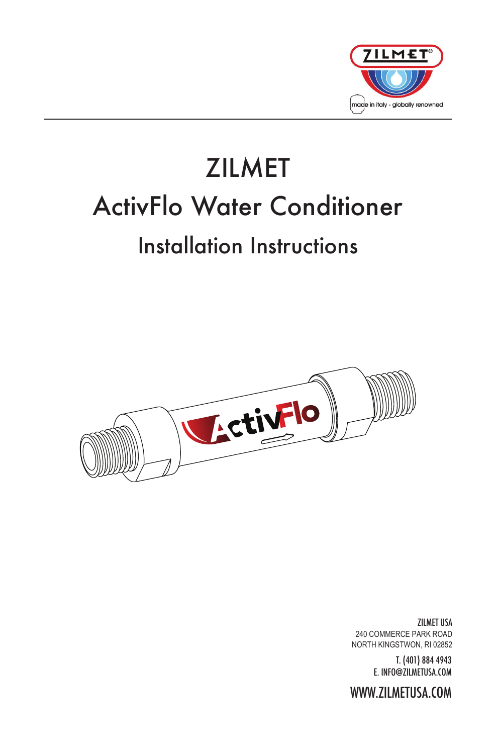

# ZILMET ActivFlo Water Conditioner Installation Instructions



ZILMET USA 240 COMMERCE PARK ROAD NORTH KINGSTWON, RI 02852

> T. (401) 884 4943 E. INFO@ZILMETUSA.COM

WWW.ZILMETUSA.COM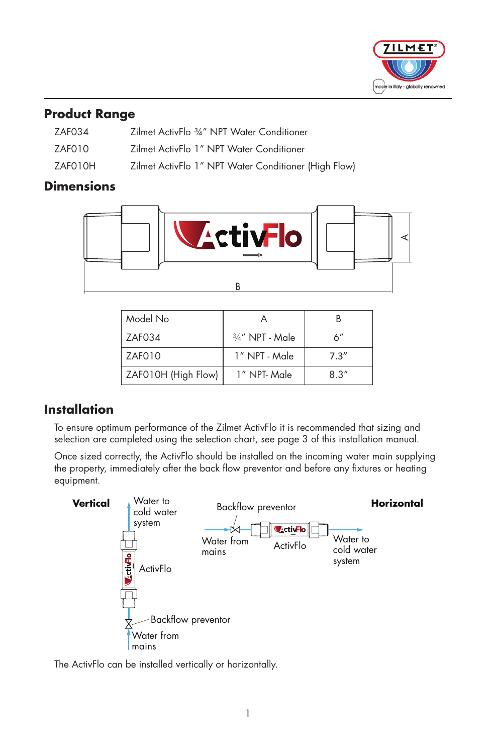

#### **Product Range**

| ZAF034  | Zilmet ActivFlo 34" NPT Water Conditioner            |
|---------|------------------------------------------------------|
| ZAFO10  | Zilmet ActivFlo 1" NPT Water Conditioner             |
| ZAFO10H | Zilmet ActivFlo 1" NPT Water Conditioner (High Flow) |

# **Dimensions**



| Model No            |                    |       |
|---------------------|--------------------|-------|
| 7AF034              | $3/4''$ NPT - Male | 6''   |
| ZAF010              | 1" NPT - Male      | 7.3'' |
| ZAF010H (High Flow) | 1" NPT-Male        | 8.3'' |

# **Installation**

To ensure optimum performance of the Zilmet ActivFlo it is recommended that sizing and selection are completed using the selection chart, see page 3 of this installation manual.

Once sized correctly, the ActivFlo should be installed on the incoming water main supplying the property, immediately after the back flow preventor and before any fixtures or heating equipment.



The ActivFlo can be installed vertically or horizontally.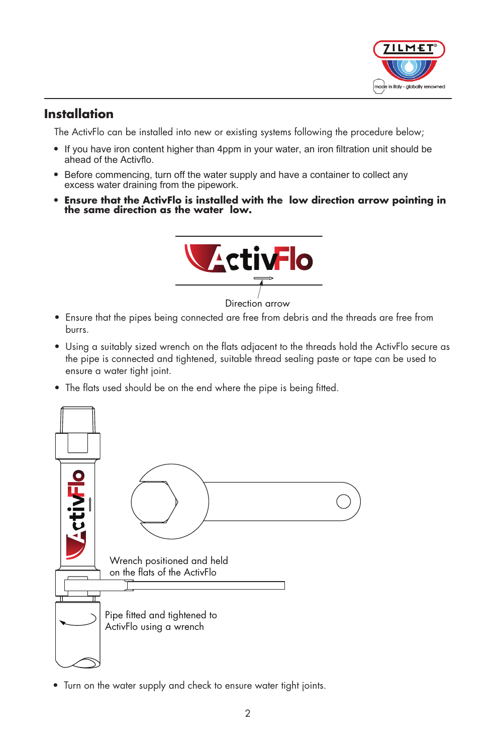

#### **Installation**

The ActivFlo can be installed into new or existing systems following the procedure below;

- If you have iron content higher than 4ppm in your water, an iron filtration unit should be ahead of the Activflo.
- Before commencing, turn off the water supply and have a container to collect any excess water draining from the pipework.
- **Ensure that the ActivFlo is installed with the low direction arrow pointing in** the same direction as the water low.



- Ensure that the pipes being connected are free from debris and the threads are free from burrs.
- Using a suitably sized wrench on the flats adjacent to the threads hold the ActivFlo secure as the pipe is connected and tightened, suitable thread sealing paste or tape can be used to ensure a water tight joint.
- The flats used should be on the end where the pipe is being fitted.



• Turn on the water supply and check to ensure water tight joints.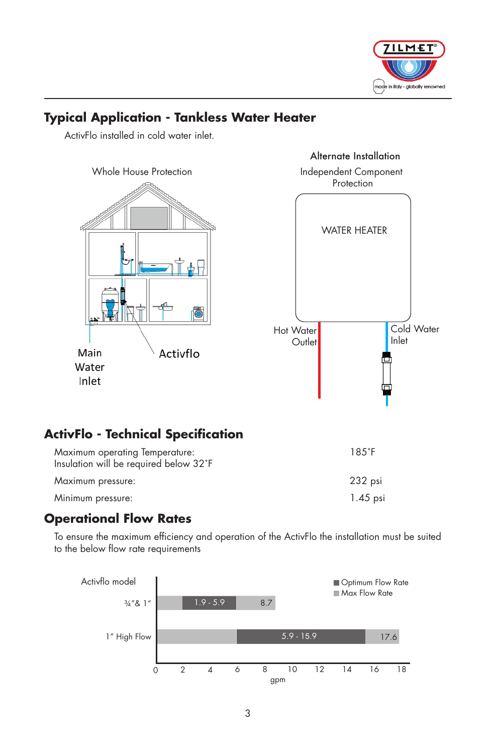

# **Typical Application - Tankless Water Heater**

ActivFlo installed in cold water inlet.





# **ActivFlo - Technical Specification**

| Maximum operating Temperature:<br>Insulation will be required below 32°F | $18.5^{\circ}$ F |
|--------------------------------------------------------------------------|------------------|
| Maximum pressure:                                                        | 232 psi          |
| Minimum pressure:                                                        | 1.45 psi         |

#### **Operational Flow Rates**

To ensure the maximum efficiency and operation of the ActivFlo the installation must be suited to the below flow rate requirements